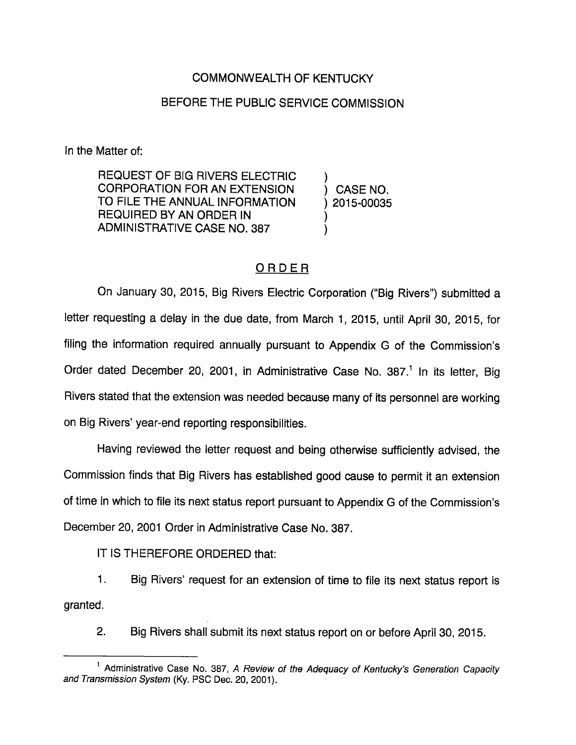## COMMONWEALTH OF KENTUCKY

## BEFORE THE PUBLIC SERVICE COMMISSION

In the Matter of:

REQUEST OF BIG RIVERS ELECTRIC ) CORPORATION FORAN EXTENSION ) CASE NO. TO FILE THE ANNUAL INFORMATION ) 2015-00035 REQUIRED BY AN ORDER IN ) ADMINISTRATIVE CASE NO. 387

## ORDER

On January 30, 2015, Big Rivers Electric Corporation ("Big Rivers") submitted a letter requesting a delay in the due date, from March 1, 2015, until April 30, 2015, for filing the information required annually pursuant to Appendix G of the Commission's Order dated December 20, 2001, in Administrative Case No. 387.<sup>1</sup> In its letter, Big Rivers stated that the extension was needed because many of its personnel are working on Big Rivers' year-end reporting responsibilities.

Having reviewed the letter request and being otherwise sufficiently advised, the Commission finds that Big Rivers has established good cause to permit it an extension of time in which to file its next status report pursuant to Appendix G of the Commission's December 20, 2001 Qrder in Administrative Case No. 387.

IT IS THEREFORE ORDERED that:

1. Big Rivers' request for an extension of time to file its next status report is granted.

2. Big Rivers shall submit its next status report on or before April 30, 2015.

<sup>&</sup>lt;sup>1</sup> Administrative Case No. 387, A Review of the Adequacy of Kentucky's Generation Capacity and Transmission System (Ky. PSO Dec. 20, 2001).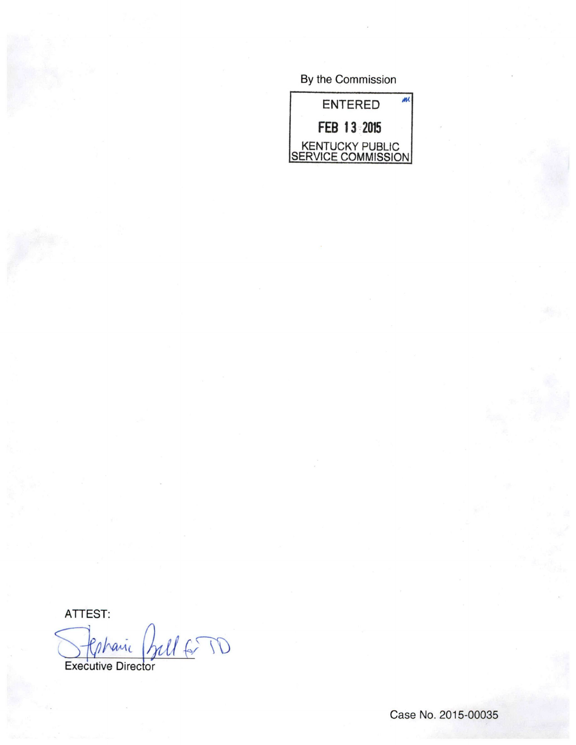By the Commission



ATTEST:

Stephanic Bell 6 TD Coharic

Case No. 2015-00035